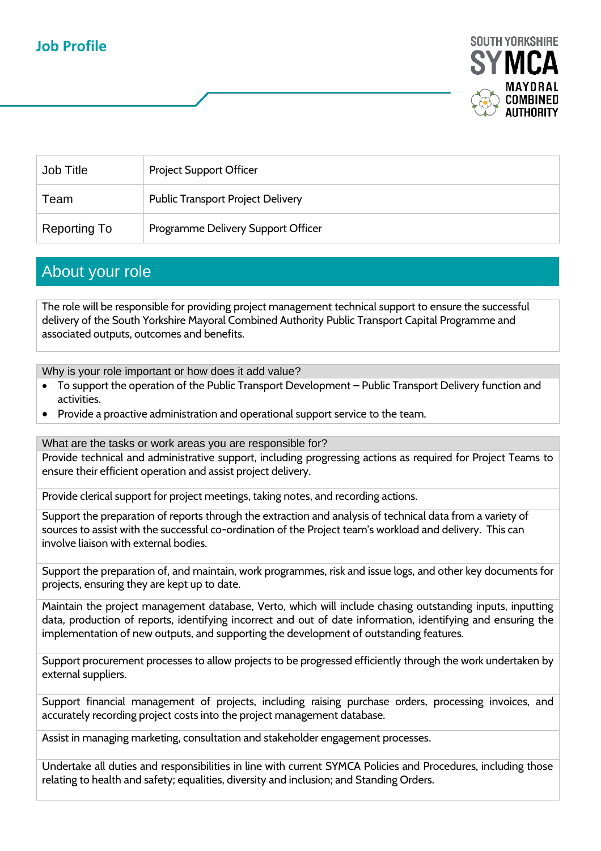## **Job Profile**



| Job Title    | <b>Project Support Officer</b>           |
|--------------|------------------------------------------|
| Team         | <b>Public Transport Project Delivery</b> |
| Reporting To | Programme Delivery Support Officer       |

## About your role

The role will be responsible for providing project management technical support to ensure the successful delivery of the South Yorkshire Mayoral Combined Authority Public Transport Capital Programme and associated outputs, outcomes and benefits.

Why is your role important or how does it add value?

- To support the operation of the Public Transport Development Public Transport Delivery function and activities.
- Provide a proactive administration and operational support service to the team.

What are the tasks or work areas you are responsible for?

Provide technical and administrative support, including progressing actions as required for Project Teams to ensure their efficient operation and assist project delivery.

Provide clerical support for project meetings, taking notes, and recording actions.

Support the preparation of reports through the extraction and analysis of technical data from a variety of sources to assist with the successful co-ordination of the Project team's workload and delivery. This can involve liaison with external bodies.

Support the preparation of, and maintain, work programmes, risk and issue logs, and other key documents for projects, ensuring they are kept up to date.

Maintain the project management database, Verto, which will include chasing outstanding inputs, inputting data, production of reports, identifying incorrect and out of date information, identifying and ensuring the implementation of new outputs, and supporting the development of outstanding features.

Support procurement processes to allow projects to be progressed efficiently through the work undertaken by external suppliers.

Support financial management of projects, including raising purchase orders, processing invoices, and accurately recording project costs into the project management database.

Assist in managing marketing, consultation and stakeholder engagement processes.

Undertake all duties and responsibilities in line with current SYMCA Policies and Procedures, including those relating to health and safety; equalities, diversity and inclusion; and Standing Orders.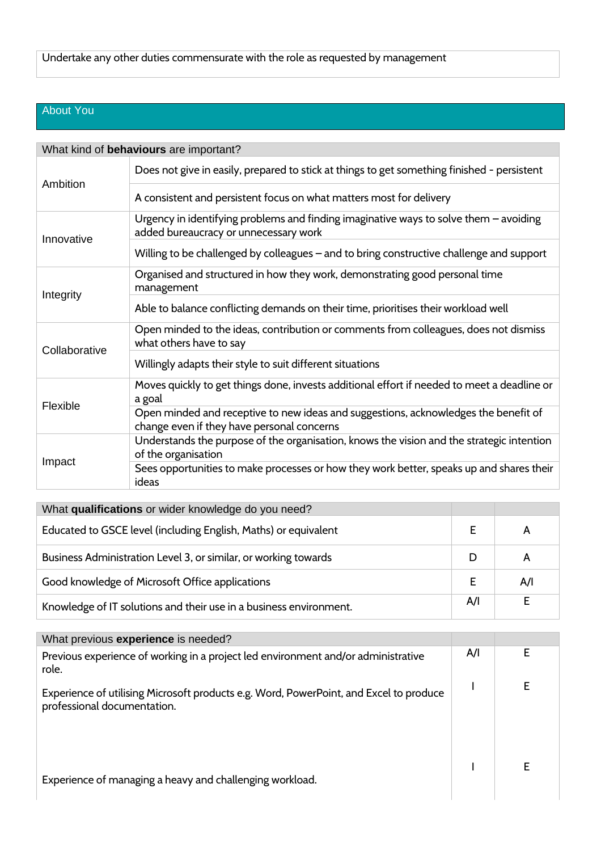## About You

| What kind of behaviours are important? |                                                                                                                                   |  |  |  |
|----------------------------------------|-----------------------------------------------------------------------------------------------------------------------------------|--|--|--|
| Ambition                               | Does not give in easily, prepared to stick at things to get something finished - persistent                                       |  |  |  |
|                                        | A consistent and persistent focus on what matters most for delivery                                                               |  |  |  |
| Innovative                             | Urgency in identifying problems and finding imaginative ways to solve them - avoiding<br>added bureaucracy or unnecessary work    |  |  |  |
|                                        | Willing to be challenged by colleagues - and to bring constructive challenge and support                                          |  |  |  |
| Integrity                              | Organised and structured in how they work, demonstrating good personal time<br>management                                         |  |  |  |
|                                        | Able to balance conflicting demands on their time, prioritises their workload well                                                |  |  |  |
| Collaborative                          | Open minded to the ideas, contribution or comments from colleagues, does not dismiss<br>what others have to say                   |  |  |  |
|                                        | Willingly adapts their style to suit different situations                                                                         |  |  |  |
| Flexible                               | Moves quickly to get things done, invests additional effort if needed to meet a deadline or<br>a goal                             |  |  |  |
|                                        | Open minded and receptive to new ideas and suggestions, acknowledges the benefit of<br>change even if they have personal concerns |  |  |  |
| Impact                                 | Understands the purpose of the organisation, knows the vision and the strategic intention<br>of the organisation                  |  |  |  |
|                                        | Sees opportunities to make processes or how they work better, speaks up and shares their<br>ideas                                 |  |  |  |

| What qualifications or wider knowledge do you need?                |     |     |
|--------------------------------------------------------------------|-----|-----|
| Educated to GSCE level (including English, Maths) or equivalent    |     |     |
| Business Administration Level 3, or similar, or working towards    |     |     |
| Good knowledge of Microsoft Office applications                    |     | A/I |
| Knowledge of IT solutions and their use in a business environment. | A/I |     |

| What previous experience is needed?                                                                                   |     |  |
|-----------------------------------------------------------------------------------------------------------------------|-----|--|
| Previous experience of working in a project led environment and/or administrative<br>role.                            | A/I |  |
| Experience of utilising Microsoft products e.g. Word, PowerPoint, and Excel to produce<br>professional documentation. |     |  |
| Experience of managing a heavy and challenging workload.                                                              |     |  |